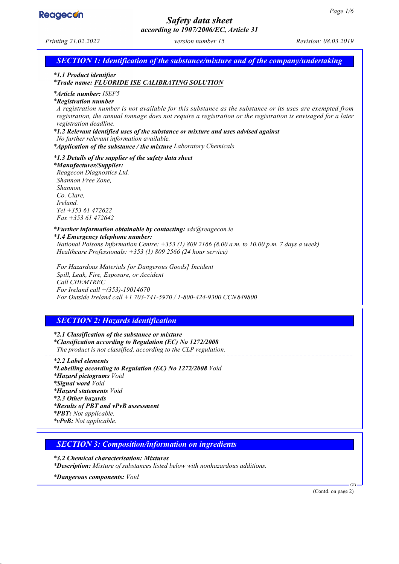

# *Safety data sheet*

*according to 1907/2006/EC, Article 31 Printing 21.02.2022 version number 15 Revision: 08.03.2019 SECTION 1: Identification of the substance/mixture and of the company/undertaking \* 1.1 Product identifier \* Trade name: FLUORIDE ISE CALIBRATING SOLUTION \* Article number: ISEF5 \* Registration number A registration number is not available for this substance as the substance or its uses are exempted from registration, the annual tonnage does not require a registration or the registration is envisaged for a later registration deadline. \* 1.2 Relevant identified uses of the substance or mixture and uses advised against No further relevant information available. \* Application of the substance / the mixture Laboratory Chemicals \* 1.3 Details of the supplier of the safety data sheet \* Manufacturer/Supplier: Reagecon Diagnostics Ltd. Shannon Free Zone, Shannon, Co. Clare, Ireland. Tel +353 61 472622 Fax +353 61 472642 \* Further information obtainable by contacting: sds@reagecon.ie \* 1.4 Emergency telephone number: National Poisons Information Centre: +353 (1) 809 2166 (8.00 a.m. to 10.00 p.m. 7 days a week) Healthcare Professionals: +353 (1) 809 2566 (24 hour service) For Hazardous Materials [or Dangerous Goods] Incident Spill, Leak, Fire, Exposure, or Accident Call CHEMTREC For Ireland call +(353)-19014670 For Outside Ireland call +1 703-741-5970 / 1-800-424-9300 CCN849800 SECTION 2: Hazards identification \* 2.1 Classification of the substance or mixture \* Classification according to Regulation (EC) No 1272/2008 The product is not classified, according to the CLP regulation. \* 2.2 Label elements \* Labelling according to Regulation (EC) No 1272/2008 Void \* Hazard pictograms Void \* Signal word Void \* Hazard statements Void \* 2.3 Other hazards \* Results of PBT and vPvB assessment \* PBT: Not applicable. \* vPvB: Not applicable. SECTION 3: Composition/information on ingredients \* 3.2 Chemical characterisation: Mixtures \* Description: Mixture of substances listed below with nonhazardous additions. \* Dangerous components: Void* GB (Contd. on page 2)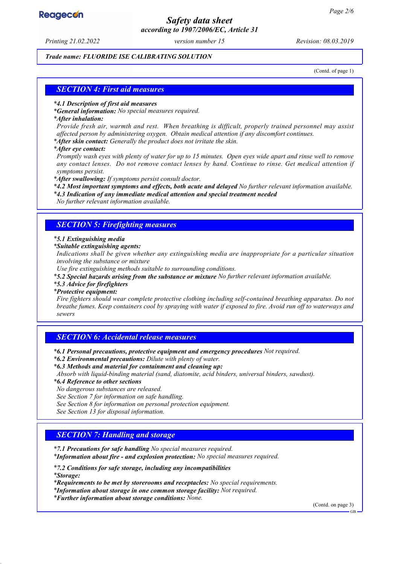## **Reagecon**

## *Safety data sheet according to 1907/2006/EC, Article 31*

*Printing 21.02.2022 version number 15 Revision: 08.03.2019*

#### *Trade name: FLUORIDE ISE CALIBRATING SOLUTION*

(Contd. of page 1)

#### *SECTION 4: First aid measures*

#### *\* 4.1 Description of first aid measures*

*\* General information: No special measures required.*

#### *\* After inhalation:*

*Provide fresh air, warmth and rest. When breathing is difficult, properly trained personnel may assist affected person by administering oxygen. Obtain medical attention if any discomfort continues.*

*\* After skin contact: Generally the product does not irritate the skin.*

*\* After eye contact:*

*Promptly wash eyes with plenty of water for up to 15 minutes. Open eyes wide apart and rinse well to remove any contact lenses. Do not remove contact lenses by hand. Continue to rinse. Get medical attention if symptoms persist.*

*\* After swallowing: If symptoms persist consult doctor.*

*\* 4.2 Most important symptoms and effects, both acute and delayed No further relevant information available.*

*\* 4.3 Indication of any immediate medical attention and special treatment needed*

*No further relevant information available.*

#### *SECTION 5: Firefighting measures*

#### *\* 5.1 Extinguishing media*

*\* Suitable extinguishing agents:*

*Indications shall be given whether any extinguishing media are inappropriate for a particular situation involving the substance or mixture*

*Use fire extinguishing methods suitable to surrounding conditions.*

*\* 5.2 Special hazards arising from the substance or mixture No further relevant information available.*

*\* 5.3 Advice for firefighters*

#### *\* Protective equipment:*

*Fire fighters should wear complete protective clothing including self-contained breathing apparatus. Do not breathe fumes. Keep containers cool by spraying with water if exposed to fire. Avoid run off to waterways and sewers*

#### *SECTION 6: Accidental release measures*

*\* 6.1 Personal precautions, protective equipment and emergency procedures Not required.*

- *\* 6.2 Environmental precautions: Dilute with plenty of water.*
- *\* 6.3 Methods and material for containment and cleaning up:*

*Absorb with liquid-binding material (sand, diatomite, acid binders, universal binders, sawdust).*

*\* 6.4 Reference to other sections*

*No dangerous substances are released.*

*See Section 7 for information on safe handling.*

*See Section 8 for information on personal protection equipment.*

*See Section 13 for disposal information.*

#### *SECTION 7: Handling and storage*

*\* 7.1 Precautions for safe handling No special measures required.*

*\* Information about fire - and explosion protection: No special measures required.*

*\* 7.2 Conditions for safe storage, including any incompatibilities*

*\* Storage:*

*\* Requirements to be met by storerooms and receptacles: No special requirements.*

*\* Information about storage in one common storage facility: Not required.*

*\* Further information about storage conditions: None.*

(Contd. on page 3)

GB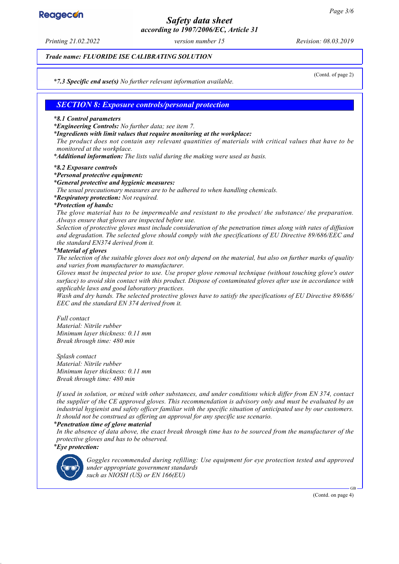# **Reagecon**

## *Safety data sheet according to 1907/2006/EC, Article 31*

*Printing 21.02.2022 version number 15 Revision: 08.03.2019*

#### *Trade name: FLUORIDE ISE CALIBRATING SOLUTION*

(Contd. of page 2)

*\* 7.3 Specific end use(s) No further relevant information available.*

#### *SECTION 8: Exposure controls/personal protection*

#### *\* 8.1 Control parameters*

*\* Engineering Controls: No further data; see item 7.*

*\* Ingredients with limit values that require monitoring at the workplace:*

*The product does not contain any relevant quantities of materials with critical values that have to be monitored at the workplace.*

*\* Additional information: The lists valid during the making were used as basis.*

#### *\* 8.2 Exposure controls*

#### *\* Personal protective equipment:*

#### *\* General protective and hygienic measures:*

*The usual precautionary measures are to be adhered to when handling chemicals.*

*\* Respiratory protection: Not required.*

#### *\* Protection of hands:*

*The glove material has to be impermeable and resistant to the product/ the substance/ the preparation. Always ensure that gloves are inspected before use.*

*Selection of protective gloves must include consideration of the penetration times along with rates of diffusion and degradation. The selected glove should comply with the specifications of EU Directive 89/686/EEC and the standard EN374 derived from it.*

#### *\* Material of gloves*

*The selection of the suitable gloves does not only depend on the material, but also on further marks of quality and varies from manufacturer to manufacturer.*

*Gloves must be inspected prior to use. Use proper glove removal technique (without touching glove's outer surface) to avoid skin contact with this product. Dispose of contaminated gloves after use in accordance with applicable laws and good laboratory practices.*

*Wash and dry hands. The selected protective gloves have to satisfy the specifications of EU Directive 89/686/ EEC and the standard EN 374 derived from it.*

*Full contact Material: Nitrile rubber Minimum layer thickness: 0.11 mm Break through time: 480 min*

*Splash contact Material: Nitrile rubber Minimum layer thickness: 0.11 mm Break through time: 480 min*

*If used in solution, or mixed with other substances, and under conditions which differ from EN 374, contact the supplier of the CE approved gloves. This recommendation is advisory only and must be evaluated by an industrial hygienist and safety officer familiar with the specific situation of anticipated use by our customers. It should not be construed as offering an approval for any specific use scenario.*

#### *\* Penetration time of glove material*

*In the absence of data above, the exact break through time has to be sourced from the manufacturer of the protective gloves and has to be observed. \* Eye protection:*



*Goggles recommended during refilling: Use equipment for eye protection tested and approved under appropriate government standards such as NIOSH (US) or EN 166(EU)*

(Contd. on page 4)

GB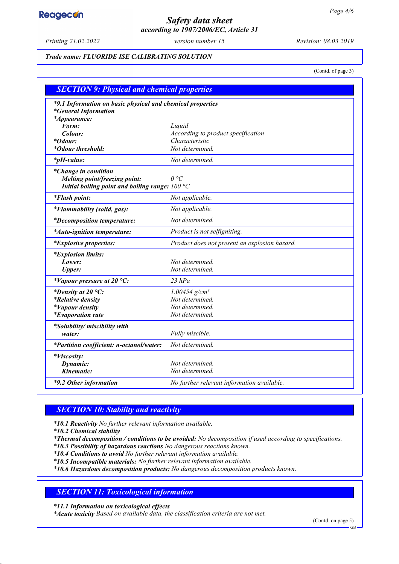# **Reagecon**

## *Safety data sheet according to 1907/2006/EC, Article 31*

*Printing 21.02.2022 version number 15 Revision: 08.03.2019*

#### *Trade name: FLUORIDE ISE CALIBRATING SOLUTION*

(Contd. of page 3)

| <b>SECTION 9: Physical and chemical properties</b>                                        |                                                      |  |
|-------------------------------------------------------------------------------------------|------------------------------------------------------|--|
| *9.1 Information on basic physical and chemical properties<br><i>*General Information</i> |                                                      |  |
| <i>*Appearance:</i><br>Form:                                                              |                                                      |  |
| Colour:                                                                                   | Liquid                                               |  |
| <i>*Odour:</i>                                                                            | According to product specification<br>Characteristic |  |
| *Odour threshold:                                                                         | Not determined.                                      |  |
|                                                                                           |                                                      |  |
| <i>*pH-value:</i>                                                                         | Not determined.                                      |  |
| <i>*Change in condition</i>                                                               |                                                      |  |
| Melting point/freezing point:                                                             | $\theta$ °C                                          |  |
| Initial boiling point and boiling range: $100 °C$                                         |                                                      |  |
| <i>*Flash point:</i>                                                                      | Not applicable.                                      |  |
| *Flammability (solid, gas):                                                               | Not applicable.                                      |  |
| <i>*Decomposition temperature:</i>                                                        | Not determined.                                      |  |
| *Auto-ignition temperature:                                                               | Product is not selfigniting.                         |  |
| <i>*Explosive properties:</i>                                                             | Product does not present an explosion hazard.        |  |
| <i>*Explosion limits:</i>                                                                 |                                                      |  |
| Lower:                                                                                    | Not determined.                                      |  |
| <b>Upper:</b>                                                                             | Not determined.                                      |  |
| *Vapour pressure at 20 $^{\circ}C$ :                                                      | $23$ $hPa$                                           |  |
| *Density at 20 $^{\circ}C$ :                                                              | $1.00454$ g/cm <sup>3</sup>                          |  |
| <i>*Relative density</i>                                                                  | Not determined.                                      |  |
| <i>*Vapour density</i>                                                                    | Not determined.                                      |  |
| <i>*Evaporation rate</i>                                                                  | Not determined.                                      |  |
| *Solubility/ miscibility with                                                             |                                                      |  |
| water:                                                                                    | Fully miscible.                                      |  |
| *Partition coefficient: n-octanol/water:                                                  | Not determined.                                      |  |
| *Viscosity:                                                                               |                                                      |  |
| Dynamic:                                                                                  | Not determined.                                      |  |
| Kinematic:                                                                                | Not determined.                                      |  |
| *9.2 Other information                                                                    | No further relevant information available.           |  |

## *SECTION 10: Stability and reactivity*

*\* 10.1 Reactivity No further relevant information available.*

*\* 10.2 Chemical stability*

*\* Thermal decomposition / conditions to be avoided: No decomposition if used according to specifications.*

*\* 10.3 Possibility of hazardous reactions No dangerous reactions known.*

*\* 10.4 Conditions to avoid No further relevant information available.*

*\* 10.5 Incompatible materials: No further relevant information available.*

*\* 10.6 Hazardous decomposition products: No dangerous decomposition products known.*

## *SECTION 11: Toxicological information*

*\* 11.1 Information on toxicological effects*

*\* Acute toxicity Based on available data, the classification criteria are not met.*

(Contd. on page 5)

GB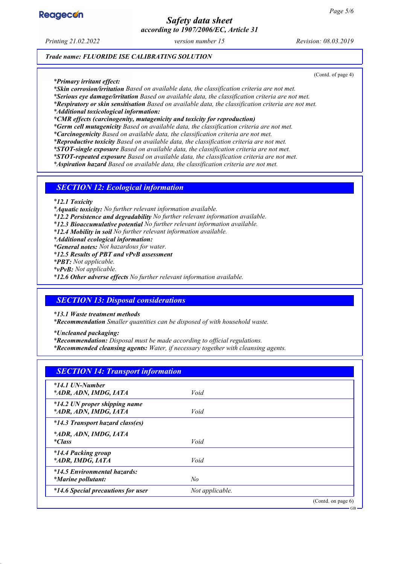

## *Safety data sheet according to 1907/2006/EC, Article 31*

*Printing 21.02.2022 version number 15 Revision: 08.03.2019*

(Contd. of page 4)

*Trade name: FLUORIDE ISE CALIBRATING SOLUTION*

*\* Primary irritant effect:*

*\* Skin corrosion/irritation Based on available data, the classification criteria are not met.*

*\* Serious eye damage/irritation Based on available data, the classification criteria are not met.*

*\* Respiratory or skin sensitisation Based on available data, the classification criteria are not met.*

*\* Additional toxicological information:*

*\* CMR effects (carcinogenity, mutagenicity and toxicity for reproduction)*

*\* Germ cell mutagenicity Based on available data, the classification criteria are not met.*

*\* Carcinogenicity Based on available data, the classification criteria are not met.*

*\* Reproductive toxicity Based on available data, the classification criteria are not met.*

*\* STOT-single exposure Based on available data, the classification criteria are not met.*

*\* STOT-repeated exposure Based on available data, the classification criteria are not met.*

*\* Aspiration hazard Based on available data, the classification criteria are not met.*

#### *SECTION 12: Ecological information*

*\* 12.1 Toxicity*

*\* Aquatic toxicity: No further relevant information available.*

*\* 12.2 Persistence and degradability No further relevant information available.*

*\* 12.3 Bioaccumulative potential No further relevant information available.*

*\* 12.4 Mobility in soil No further relevant information available.*

*\* Additional ecological information:*

*\* General notes: Not hazardous for water.*

*\* 12.5 Results of PBT and vPvB assessment*

*\* PBT: Not applicable.*

*\* vPvB: Not applicable.*

*\* 12.6 Other adverse effects No further relevant information available.*

#### *SECTION 13: Disposal considerations*

*\* 13.1 Waste treatment methods*

*\* Recommendation Smaller quantities can be disposed of with household waste.*

*\* Uncleaned packaging:*

*\* Recommendation: Disposal must be made according to official regulations.*

*\* Recommended cleansing agents: Water, if necessary together with cleansing agents.*

| <b>SECTION 14: Transport information</b>                  |                 |                       |
|-----------------------------------------------------------|-----------------|-----------------------|
| $*14.1$ UN-Number<br>*ADR, ADN, IMDG, IATA                | Void            |                       |
| *14.2 UN proper shipping name<br>*ADR, ADN, IMDG, IATA    | Void            |                       |
| *14.3 Transport hazard class(es)                          |                 |                       |
| *ADR, ADN, IMDG, IATA<br><i>*Class</i>                    | Void            |                       |
| <i>*14.4 Packing group</i><br>*ADR, IMDG, IATA            | Void            |                       |
| *14.5 Environmental hazards:<br><i>*Marine pollutant:</i> | No              |                       |
| <i>*14.6 Special precautions for user</i>                 | Not applicable. |                       |
|                                                           |                 | (Contd. on page $6$ ) |

GB